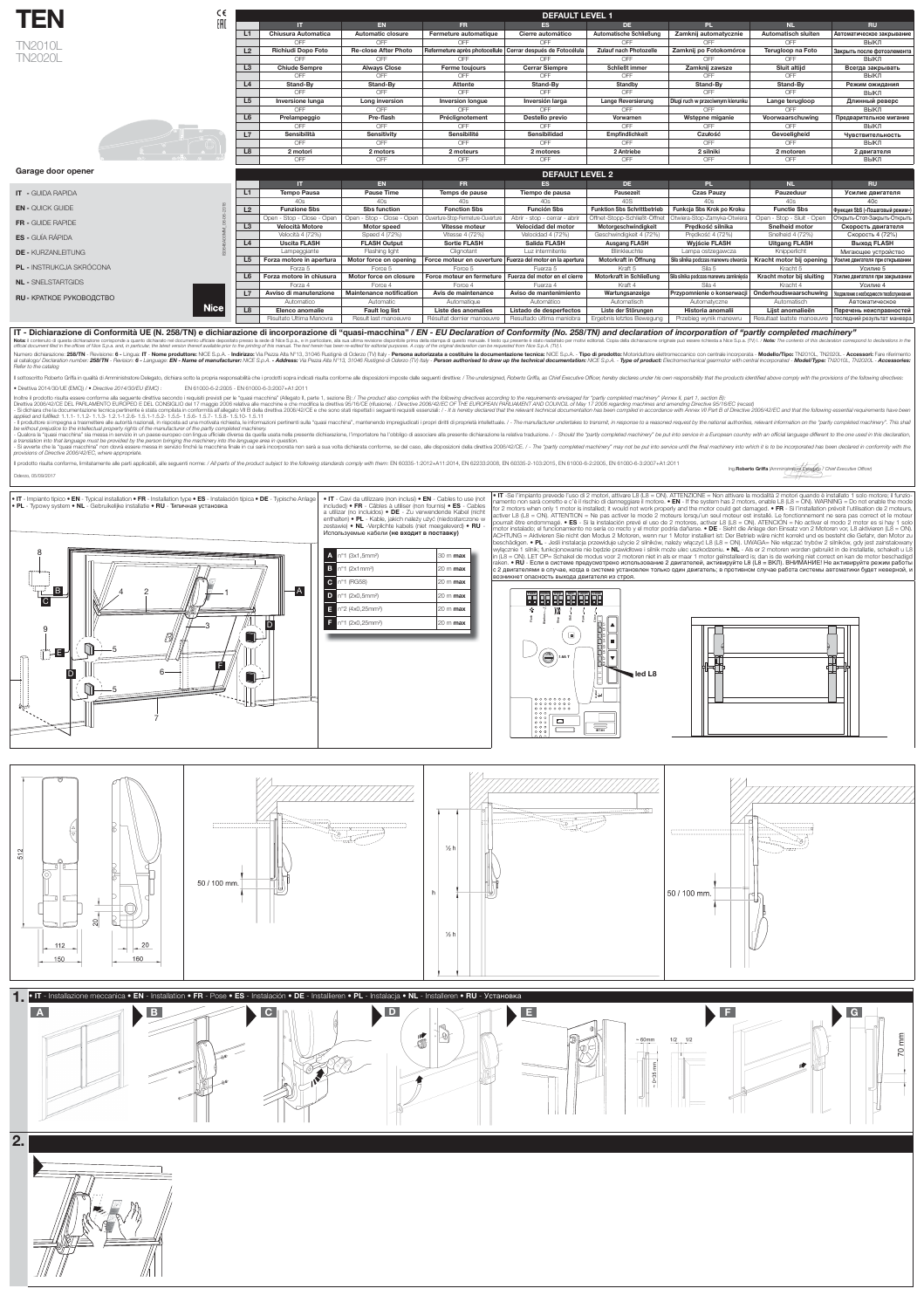

## Garage door opener

| F | ۳<br>N<br>$\bullet$ | L |
|---|---------------------|---|
|   | $\sim$              |   |

| <b>TN2010L</b> |
|----------------|
| <b>TN2020L</b> |



CE EAC

## IT - Dichiarazione di Conformità UE (N. 258/TN) e dichiarazione di incorporazione di "quasi-macchina" / *EN - EU Declaration of Conformity (No. 258/TN) and declaration of incorporation of "partly completed machinery"*

Nota: il contenuto di questa dichiarazione corrisponde a quanto dichiarato nel documento ufficiale depositato presso la sede di Nice S.p.a., e in particolare, alla sua ultima revisione disponibile prima della stampa di que reflux in comparts we consider the offices of Nice S.p.a. and, in particular, the latest version thereof available prior to the printing of this manual. The text herein has been re-edited for editorial purposes. A copy of

Numero dichiarazione: 258/TN - Revisione: 6 - Lingua: IT - Nome produttore: NICE S.p.A. - Indirizzo: Via Pezza Alta N°13, 31046 Rustignè di Oderzo (TV) Italy - Persona autorizzata a costituire la documentazione tecnica: NI al catalogo/ Declaration number: 258/TN - Revision: 6 - Language: EN - Name of manufacturer: NICE S.p.A. - Address: Via Pezza Alta N°13, 31046 Rustigne di Oderzo (TV) Italy - Person authorised to draw up the technical docu Refer to the catalog

Il sottoscritto Roberto Griffa in qualità di Amministratore Delegato, dichiara sotto la propria responsabilità che i prodotti sopra indicati risulta conforme alle disposizioni imposte dalle seguenti direttive: / The unders

 $\bullet$  Direttiva 2014/30/UE (EMC)) /  $\bullet$  Directive 2014/30/EU (EMC) : EN 61000-6-2:2005 - EN 61000-6-3:2007+A1:2011

Inoltre il prodotto risulta essere conforme alla seguente direttiva secondo i requisiti previsti per le "quasi macchina" (Allegato II, parte 1, sezione B): / The product also complies with the following directives accordin

Direttiva 2006/42/CE DEL PARLAMENTO EUROPEO E DEL CONSIGLIO del 17 maggio 2006 relativa alle macchine e che modifica la direttiva 95/16/CE (rifusione). / Directive 2006/42/EC OF THE EUROPEAN PARLIAMENT AND COUNCIL of May 1

- Si dichiara che la documentazione tecnica pertinente è stata compilata in conformità all'allegato VII B della direttiva 2006/42/CE e che sono stati rispettati i seguenti requisiti essenziali: / - It is hereby declared th applied and fulfilled: 1.1.1- 1.1.2- 1.1.3- 1.2.1-1.2.6- 1.5.1-1.5.2- 1.5.5- 1.5.6- 1.5.7- 1.5.8- 1.5.10- 1.5.11

- Il produttore si impegna a trasmettere alle autorità nazionali, in risposta ad una motivata richiesta, le informazioni pertinenti sulla "quasi macchina", mantenendo impregiudicati i propri diritti di proprietà intellettu be without prejudice to the intellectual property rights of the manufacturer of the partly completed machinery.

- Qualora la "quasi macchina" sia messa in servizio in un paese europeo con lingua ufficiale diversa da quella usata nella presente dichiarazione, l'importatore ha l'obbligo di associare alla presente dichiarazione la rela a translation into that language must be provided by the person bringing the machinery into the language area in question.

- Si avverte che la "quasi macchina" non dovrà essere messa in servizio finché la macchina finale in cui sarà incorporata non sarà a sua volta dichiarata conforme, se del caso, alle disposizioni della direttiva 2006/42/CE. provisions of Directive 2006/42/EC, where appropriate.

ll prodotto risulta conforme, limitatamente alle parti applicabili, alle seguenti norme: / All parts of the product subject to the following standards comply with them: EN 60335-1:2012+A11:2014, EN 62233:2008, EN 60335-2-1

Oderzo, 05/09/2017

• IT - Impianto tipico • EN - Typical installation • FR - Installation type • ES - Instalación típica • DE - Typische Anlage | • IT - Cavi da utilizzare (non inclusi) • EN - Cables to use (not

• PL - Typowy system • NL - Gebruikelijke installatie • RU - Типичная установка

|                                 |                | <b>DEI AULI LEVEL 4</b>    |                                 |                                              |                                 |                                    |                                         |                            |                                                           |
|---------------------------------|----------------|----------------------------|---------------------------------|----------------------------------------------|---------------------------------|------------------------------------|-----------------------------------------|----------------------------|-----------------------------------------------------------|
|                                 |                |                            | <b>EN</b>                       | FR.                                          | ES                              | DE.                                | PL.                                     | <b>NL</b>                  | <b>RU</b>                                                 |
| <b>IT - GUIDA RAPIDA</b>        | L1             | <b>Tempo Pausa</b>         | <b>Pause Time</b>               | Temps de pause                               | Tiempo de pausa                 | <b>Pausezeit</b>                   | <b>Czas Pauzy</b>                       | Pauzeduur                  | Усилие двигателя                                          |
|                                 |                |                            | 40s                             | 40s                                          | 40s.                            | 40S                                | 40s                                     | 40s                        | 40c                                                       |
| <b>EN - QUICK GUIDE</b>         | L2             | <b>Funzione Sbs</b>        | <b>Sbs function</b>             | <b>Fonction Sbs</b>                          | <b>Función Sbs</b>              | <b>Funktion Sbs Schrittbetrieb</b> | Funkcja Sbs Krok po Kroku               | <b>Functie Sbs</b>         | функция SbS («Пошаговый режим»)                           |
|                                 |                | Open - Stop - Close - Open | Open - Stop - Close - Open      | uverture-Stop-Fermeture-Ouvertu <sup>,</sup> | Abrir - stop - cerrar - abrir   | Öffnet-Stopp-Schließt-Öffnet       | Otwiera-Stop-Zamyka-Otwiera             | Open - Stop - Sluit - Open | Открыть-Стоп-Закрыть-Открыть                              |
| FR - GUIDE RAPIDE               | L3             | <b>Velocità Motore</b>     | Motor speed                     | Vitesse moteur                               | Velocidad del motor             | Motorgeschwindigkeit               | Predkość silnika                        | <b>Snelheid motor</b>      | Скорость двигателя                                        |
| <b>ES -</b> GUÍA RÁPIDA         |                | Velocità 4 (72%)           | Speed 4 (72%)                   | Vitesse 4 (72%)                              | Velocidad 4 (72%)               | Geschwindigkeit 4 (72%)            | Prędkość 4 (72%)                        | Snelheid 4 (72%)           | Скорость 4 (72%)                                          |
|                                 | L <sub>4</sub> | <b>Uscita FLASH</b>        | <b>FLASH Output</b>             | <b>Sortie FLASH</b>                          | Salida FLASH                    | <b>Ausgang FLASH</b>               | <b>Wyjście FLASH</b>                    | <b>Uitgang FLASH</b>       | Выход FLASH                                               |
| <b>DE - KURZANLEITUNG</b>       |                | Lampeggiante               | Flashing light                  | Clignotant                                   | Luz intermitente                | Blinkleuchte                       | Lampa ostzegawcza                       | Knipperlicht               | Мигающее устройство                                       |
|                                 | L5             | Forza motore in apertura   | Motor force on opening          | Force moteur en ouverture                    | Fuerza del motor en la apertura | Motorkraft in Öffnung              | Siła silnika podczas manewru otwarcia   | Kracht motor bij opening   | Усилие двигателя при открывании                           |
| <b>PL - INSTRUKCJA SKRÓCONA</b> |                | Forza 5                    | Force 5                         | Force 5                                      | Fuerza 5                        | Kraft 5                            | Sila 5                                  | Kracht 5                   | Усилие 5                                                  |
|                                 | L6             | Forza motore in chiusura   | Motor force on closure          | Force moteur en fermeture                    | Fuerza del motor en el cierre   | Motorkraft in Schließung           | Siła silnika podczas manewru zamknięcia | Kracht motor bij sluiting  | Усилие двигателя при закрывании                           |
| <b>NL - SNELSTARTGIDS</b>       |                | Forza 4                    | Force 4                         | Force 4                                      | Fuerza 4                        | Kraft 4                            | Sila 4                                  | Kracht 4                   | Усилие 4                                                  |
| RU - КРАТКОЕ РУКОВОДСТВО        |                | Avviso di manutenzione     | <b>Maintenance notification</b> | Avis de maintenance                          | Aviso de mantenimiento          | Wartungsanzeige                    | Przypomnienie o konserwacji             | Onderhoudswaarschuwing     | Уведомление о необходимости техобслуживания               |
|                                 |                | Automatico                 | Automatic                       | Automatique                                  | Automático                      | Automatisch                        | Automatyczne                            | Automatisch                | Автоматическое                                            |
| <b>Nice</b>                     | L8             | Elenco anomalie            | <b>Fault log list</b>           | Liste des anomalies                          | Listado de desperfectos         | Liste der Störungen                | Historia anomalii                       | Lijst anomalieën           | Перечень неисправностей                                   |
|                                 |                | Risultato Ultima Manovra   | Result last manoeuvre           | Résultat dernier manoeuvre                   | Resultado última maniobra       | Ergebnis letztes Bewegung          | Przebieg wynik manewru                  |                            | Resultaat laatste manoeuvre   последний результат маневра |

included) • FR - Câbles à utiliser (non fournis) •  $ES$  - Cables a utilizar (no incluidos)  $\bullet$  DE - Zu verwendende Kabel (nicht enthalten) • PL - Kable, jakich należy użyć (niedostarczone w zestawie) • NL - Verplichte kabels (niet meegeleverd) • RU -Используемые кабели **(не входит в поставку)**





· IT -Se l'impianto prevede l'uso di 2 motori, attivare L8 (L8 = ON). ATTENZIONE = Non attivare la modalità 2 motori quando è installato 1 solo motore; il funzionamento non sarà corretto e c'è il rischio di danneggiare il motore. • EN - If the system has 2 motors, enable L8 (L8 = ON). WARNING = Do not enable the mode for 2 motors when only 1 motor is installed; it would not work properly and the motor could get damaged. • FR - Si l'installation prévoit l'utilisation de 2 moteurs, activer L8 (L8 = ON). ATTENTION = Ne pas activer le mode 2 moteurs lorsqu'un seul moteur est installé. Le fonctionnement ne sera pas correct et le moteur pourrait être endommagé. • ES - Si la instalación prevé el uso de 2 motores, activar L8 (L8 = ON). ATENCIÓN = No activar el modo 2 motor es si hay 1 solo motor instalado; el funcionamiento no sería co rrecto y el motor podría dañarse. • DE - Sieht die Anlage den Einsatz von 2 Motoren vor, L8 aktivieren (L8 = ON). ACHTUNG = Aktivieren Sie nicht den Modus 2 Motoren, wenn nur 1 Motor installiert ist: Der Betrieb wäre nicht korrekt und es besteht die Gefahr, den Motor zu beschädigen. • PL - Jeśli instalacja przewiduje użycie 2 silników, należy włączyć L8 (L8 = ON). UWAGA= Nie włączać trybów 2 silników, gdy jest zainstalowany wyłącznie 1 silnik; funkcjonowanie nie będzie prawidłowe i silnik może ulec uszkodzeniu. • NL - Als er 2 motoren worden gebruikt in de installatie, schakelt u L8 in (L8 = ON). LET OP= Schakel de modus voor 2 motoren niet in als er maar 1 motor geïnstalleerd is; dan is de werking niet correct en kan de motor beschadigd raken. • RU - Если в системе предусмотрено использование 2 двигателей, активируйте L8 (L8 = ВКЛ). ВНИМАНИЕ! Не активируйте режим работы с 2 двигателями в случае, когда в системе установлен только один двигатель; в противном случае работа системы автоматики будет неверной, и





|    | <b>DEFAULT LEVEL 1</b>     |                             |                                |                              |                                |                                  |                            |                            |  |  |  |
|----|----------------------------|-----------------------------|--------------------------------|------------------------------|--------------------------------|----------------------------------|----------------------------|----------------------------|--|--|--|
|    | Ш                          | <b>EN</b>                   | <b>FR</b>                      | <b>ES</b>                    | <b>DE</b>                      | <b>PL</b>                        | <b>NL</b>                  | <b>RU</b>                  |  |  |  |
| L1 | <b>Chiusura Automatica</b> | <b>Automatic closure</b>    | Fermeture automatique          | Cierre automático            | <b>Automatische Schließung</b> | Zamknij automatycznie            | <b>Automatisch sluiten</b> | Автоматическое закрывание  |  |  |  |
|    | OFF                        | OFF                         | OFF                            | OFF                          | <b>OFF</b>                     | OFF                              | OFF                        | ВЫКЛ                       |  |  |  |
| L2 | <b>Richiudi Dopo Foto</b>  | <b>Re-close After Photo</b> | Refermeture après photocellule | Cerrar después de Fotocélula | <b>Zulauf nach Photozelle</b>  | Zamknij po Fotokomórce           | Terugloop na Foto          | Закрыть после фотоэлемента |  |  |  |
|    | OFF                        | <b>OFF</b>                  | OFF                            | OFF                          | <b>OFF</b>                     | OFF                              | <b>OFF</b>                 | ВЫКЛ                       |  |  |  |
| L3 | <b>Chiude Sempre</b>       | <b>Always Close</b>         | <b>Ferme toujours</b>          | <b>Cerrar Siempre</b>        | <b>Schließt immer</b>          | Zamknij zawsze                   | <b>Sluit altijd</b>        | Всегда закрывать           |  |  |  |
|    | OFF                        | OFF                         | OFF                            | OFF                          | OFF                            | OFF                              | OFF                        | ВЫКЛ                       |  |  |  |
| L4 | Stand-By                   | Stand-By                    | Attente                        | Stand-By                     | Standby                        | Stand-By                         | Stand-By                   | Режим ожидания             |  |  |  |
|    | OFF                        | <b>OFF</b>                  | OFF                            | OFF                          | OFF                            | OFF                              | OFF                        | ВЫКЛ                       |  |  |  |
| L5 | Inversione lunga           | Long inversion              | Inversion longue               | Inversión larga              | Lange Reversierung             | Długi ruch w przeciwnym kierunku | Lange terugloop            | Длинный реверс             |  |  |  |
|    | OFF                        | OFF                         | OFF                            | OFF                          | <b>OFF</b>                     | <b>OFF</b>                       | OFF                        | ВЫКЛ                       |  |  |  |
| L6 | Prelampeggio               | Pre-flash                   | Préclignotement                | Destello previo              | Vorwarnen                      | Wstepne miganie                  | Voorwaarschuwing           | Предварительное мигание    |  |  |  |
|    | OFF                        | OFF                         | OFF                            | OFF                          | OFF                            | OFF                              | OFF                        | ВЫКЛ                       |  |  |  |
| L7 | <b>Sensibilità</b>         | <b>Sensitivity</b>          | Sensibilité                    | <b>Sensibilidad</b>          | <b>Empfindlichkeit</b>         | <b>Czułość</b>                   | Gevoeligheid               | Чувствительность           |  |  |  |
|    | OFF                        | OFF                         | OFF                            | OFF                          | OFF                            | OFF                              | OFF                        | ВЫКЛ                       |  |  |  |
| L8 | 2 motori                   | 2 motors                    | 2 moteurs                      | 2 motores                    | 2 Antriebe                     | 2 silniki                        | 2 motoren                  | 2 двигателя                |  |  |  |
|    | <b>OFF</b>                 | <b>OFF</b>                  | <b>OFF</b>                     | <b>OFF</b>                   | <b>OFF</b>                     | <b>OFF</b>                       | <b>OFF</b>                 | ВЫКЛ                       |  |  |  |

 $DFTAIII T I F V T I Q$